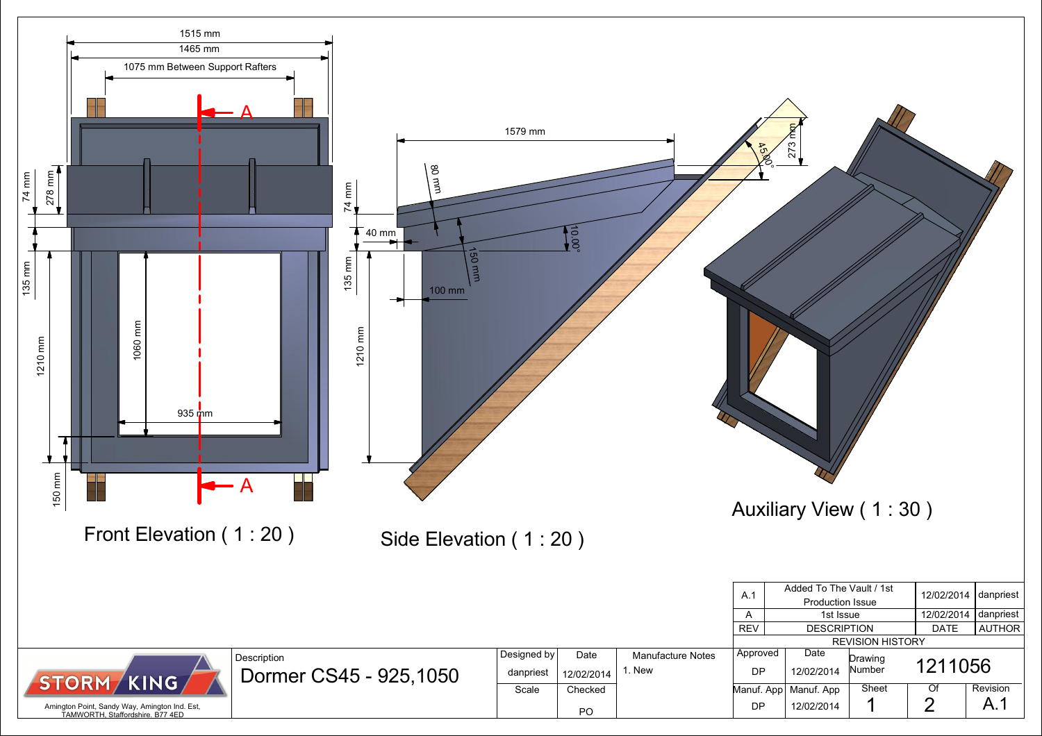